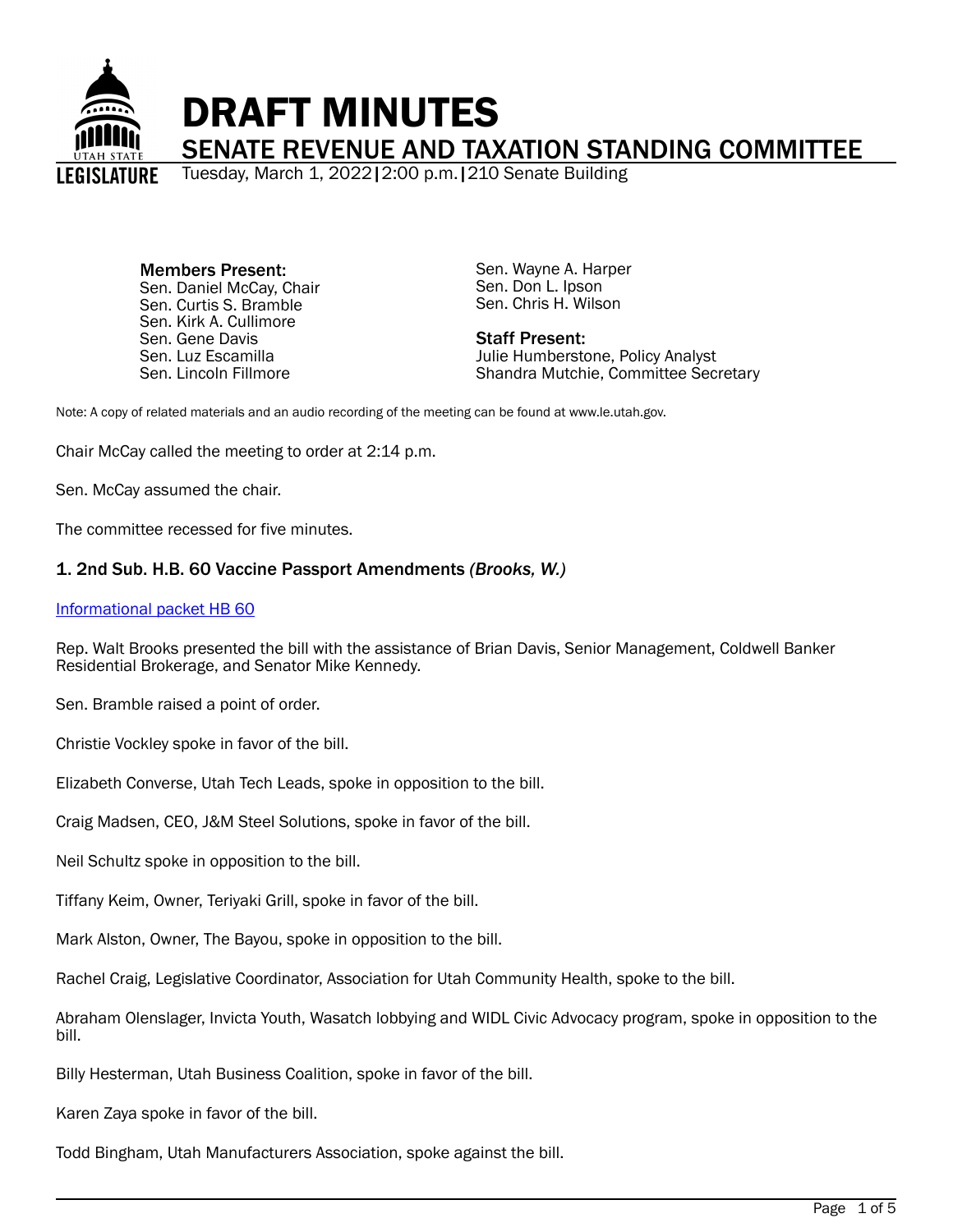

Members Present: Sen. Daniel McCay, Chair Sen. Curtis S. Bramble Sen. Kirk A. Cullimore Sen. Gene Davis Sen. Luz Escamilla Sen. Lincoln Fillmore

Sen. Wayne A. Harper Sen. Don L. Ipson Sen. Chris H. Wilson

Staff Present: Julie Humberstone, Policy Analyst Shandra Mutchie, Committee Secretary

Note: A copy of related materials and an audio recording of the meeting can be found at www.le.utah.gov.

Chair McCay called the meeting to order at 2:14 p.m.

Sen. McCay assumed the chair.

The committee recessed for five minutes.

# 1. 2nd Sub. H.B. 60 Vaccine Passport Amendments *(Brooks, W.)*

#### [Informational packet HB 60](https://le.utah.gov/interim/2022/pdf/00002046.pdf)

Rep. Walt Brooks presented the bill with the assistance of Brian Davis, Senior Management, Coldwell Banker Residential Brokerage, and Senator Mike Kennedy.

Sen. Bramble raised a point of order.

Christie Vockley spoke in favor of the bill.

Elizabeth Converse, Utah Tech Leads, spoke in opposition to the bill.

Craig Madsen, CEO, J&M Steel Solutions, spoke in favor of the bill.

Neil Schultz spoke in opposition to the bill.

Tiffany Keim, Owner, Teriyaki Grill, spoke in favor of the bill.

Mark Alston, Owner, The Bayou, spoke in opposition to the bill.

Rachel Craig, Legislative Coordinator, Association for Utah Community Health, spoke to the bill.

Abraham Olenslager, Invicta Youth, Wasatch lobbying and WIDL Civic Advocacy program, spoke in opposition to the bill.

Billy Hesterman, Utah Business Coalition, spoke in favor of the bill.

Karen Zaya spoke in favor of the bill.

Todd Bingham, Utah Manufacturers Association, spoke against the bill.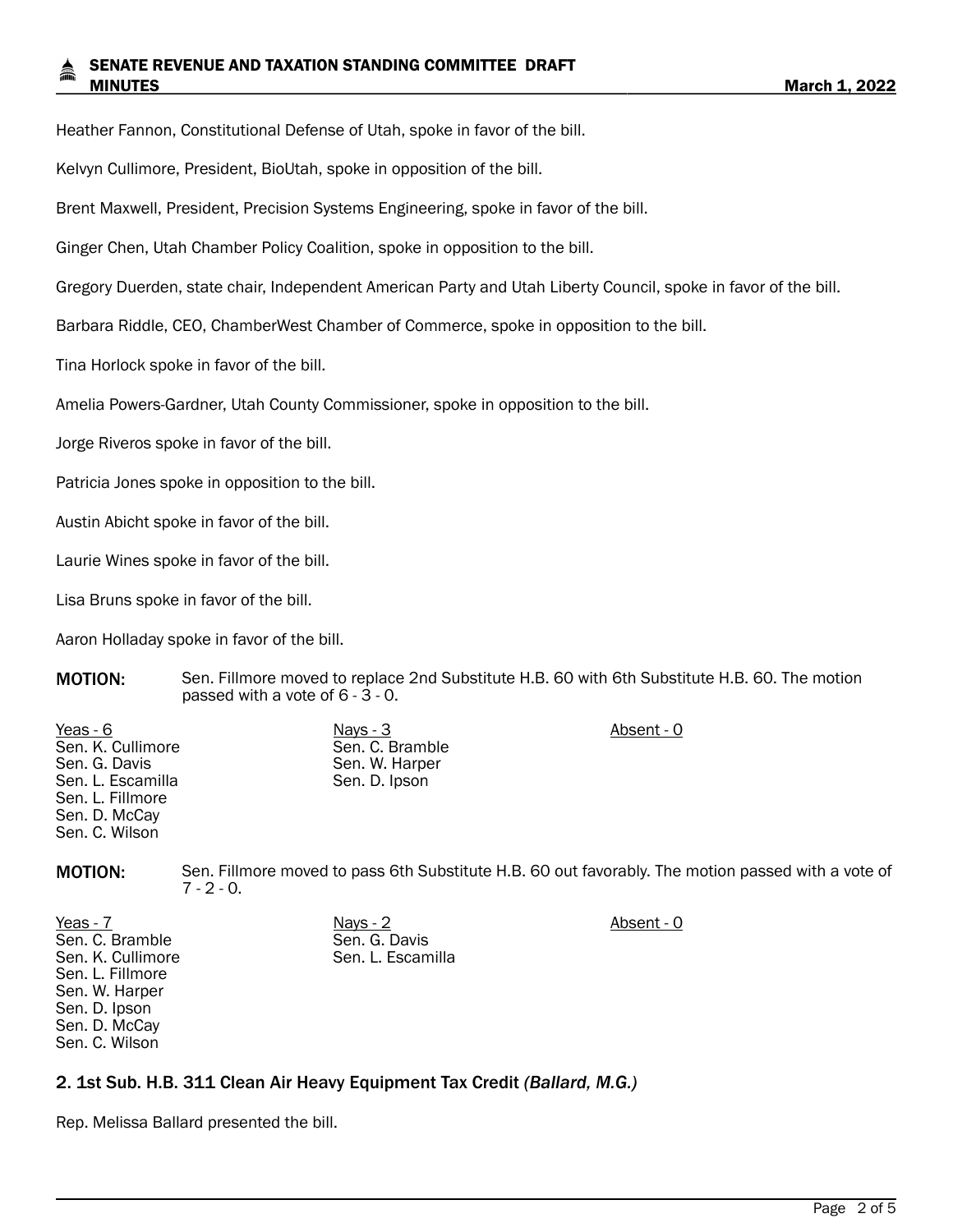### SENATE REVENUE AND TAXATION STANDING COMMITTEE DRAFT MINUTES **March 1, 2022**

Heather Fannon, Constitutional Defense of Utah, spoke in favor of the bill.

Kelvyn Cullimore, President, BioUtah, spoke in opposition of the bill.

Brent Maxwell, President, Precision Systems Engineering, spoke in favor of the bill.

Ginger Chen, Utah Chamber Policy Coalition, spoke in opposition to the bill.

Gregory Duerden, state chair, Independent American Party and Utah Liberty Council, spoke in favor of the bill.

Barbara Riddle, CEO, ChamberWest Chamber of Commerce, spoke in opposition to the bill.

Tina Horlock spoke in favor of the bill.

Amelia Powers-Gardner, Utah County Commissioner, spoke in opposition to the bill.

Jorge Riveros spoke in favor of the bill.

Patricia Jones spoke in opposition to the bill.

Austin Abicht spoke in favor of the bill.

Laurie Wines spoke in favor of the bill.

Lisa Bruns spoke in favor of the bill.

Aaron Holladay spoke in favor of the bill.

MOTION: Sen. Fillmore moved to replace 2nd Substitute H.B. 60 with 6th Substitute H.B. 60. The motion passed with a vote of 6 - 3 - 0.

| Absent - 0      |
|-----------------|
| Sen. C. Bramble |
| Sen. W. Harper  |
|                 |
|                 |
|                 |
|                 |
|                 |

MOTION: Sen. Fillmore moved to pass 6th Substitute H.B. 60 out favorably. The motion passed with a vote of  $7 - 2 - 0.$ 

Yeas - 7 Nays - 2 Absent - 0 Sen. C. Bramble Sen. K. Cullimore Sen. L. Fillmore Sen. W. Harper Sen. D. Ipson Sen. D. McCay Sen. C. Wilson

Sen. G. Davis Sen. L. Escamilla

# 2. 1st Sub. H.B. 311 Clean Air Heavy Equipment Tax Credit *(Ballard, M.G.)*

Rep. Melissa Ballard presented the bill.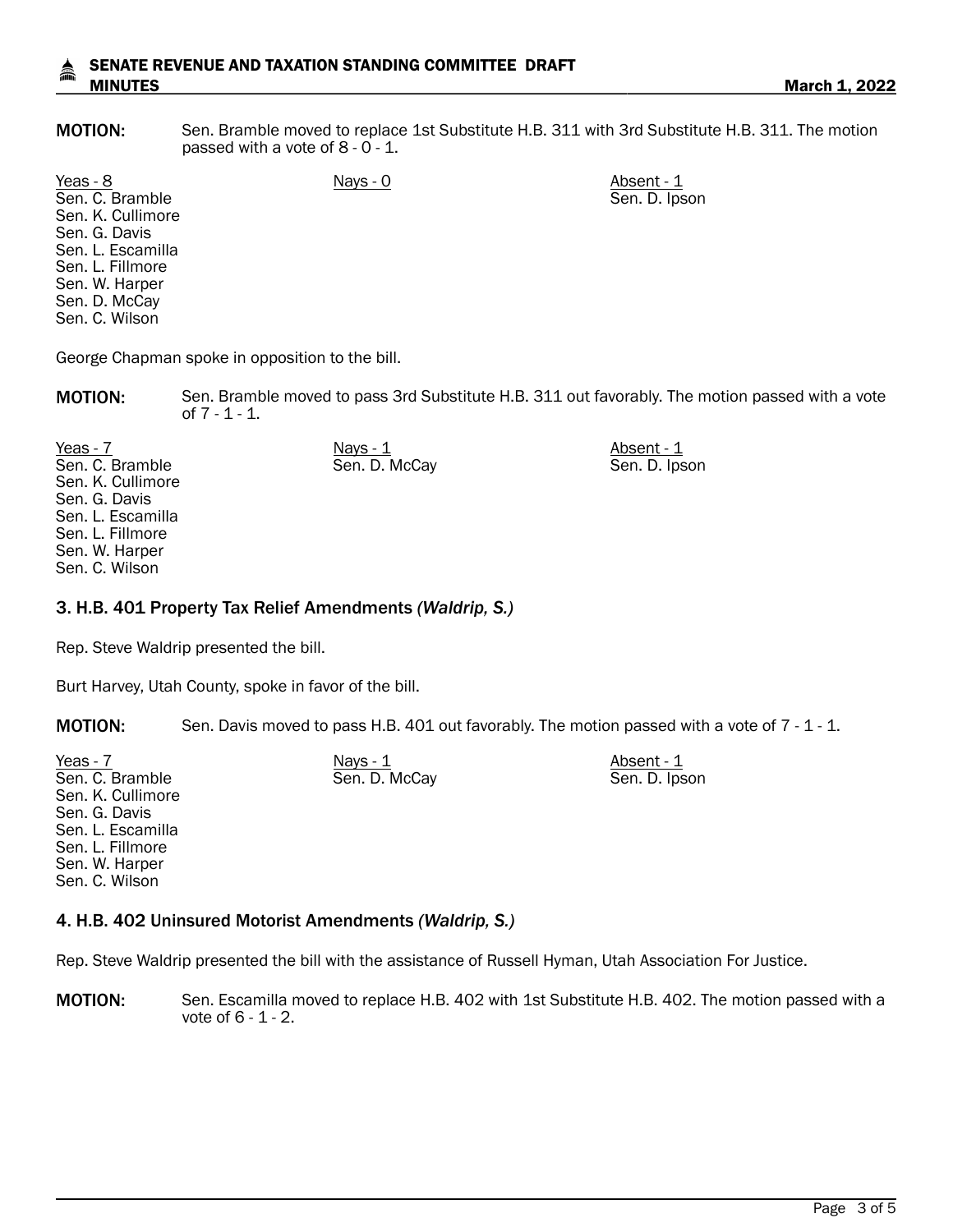### SENATE REVENUE AND TAXATION STANDING COMMITTEE DRAFT MINUTES **March 1, 2022**

MOTION: Sen. Bramble moved to replace 1st Substitute H.B. 311 with 3rd Substitute H.B. 311. The motion passed with a vote of 8 - 0 - 1.

Sen. D. Ipson

Yeas - 8 Nays - 0 Nays - 0 Absent - 1 Sen. C. Bramble Sen. K. Cullimore Sen. G. Davis Sen. L. Escamilla Sen. L. Fillmore Sen. W. Harper Sen. D. McCay Sen. C. Wilson

George Chapman spoke in opposition to the bill.

MOTION: Sen. Bramble moved to pass 3rd Substitute H.B. 311 out favorably. The motion passed with a vote of 7 - 1 - 1.

| Yeas - 7          | Nays - 1      | Absent - 1    |
|-------------------|---------------|---------------|
| Sen. C. Bramble   | Sen. D. McCay | Sen. D. Ipson |
| Sen. K. Cullimore |               |               |
| Sen. G. Davis     |               |               |
| Sen. L. Escamilla |               |               |
| Sen. L. Fillmore  |               |               |
| Sen. W. Harper    |               |               |
| Sen. C. Wilson    |               |               |

### 3. H.B. 401 Property Tax Relief Amendments *(Waldrip, S.)*

Rep. Steve Waldrip presented the bill.

Burt Harvey, Utah County, spoke in favor of the bill.

MOTION: Sen. Davis moved to pass H.B. 401 out favorably. The motion passed with a vote of 7 - 1 - 1.

| Yeas - 7          | Nays - 1      | Absent - 1    |
|-------------------|---------------|---------------|
| Sen. C. Bramble   | Sen. D. McCay | Sen. D. Ipson |
| Sen. K. Cullimore |               |               |
| Sen. G. Davis     |               |               |
| Sen. L. Escamilla |               |               |
| Sen. L. Fillmore  |               |               |
| Sen. W. Harper    |               |               |
| Sen. C. Wilson    |               |               |
|                   |               |               |

# 4. H.B. 402 Uninsured Motorist Amendments *(Waldrip, S.)*

Rep. Steve Waldrip presented the bill with the assistance of Russell Hyman, Utah Association For Justice.

MOTION: Sen. Escamilla moved to replace H.B. 402 with 1st Substitute H.B. 402. The motion passed with a vote of 6 - 1 - 2.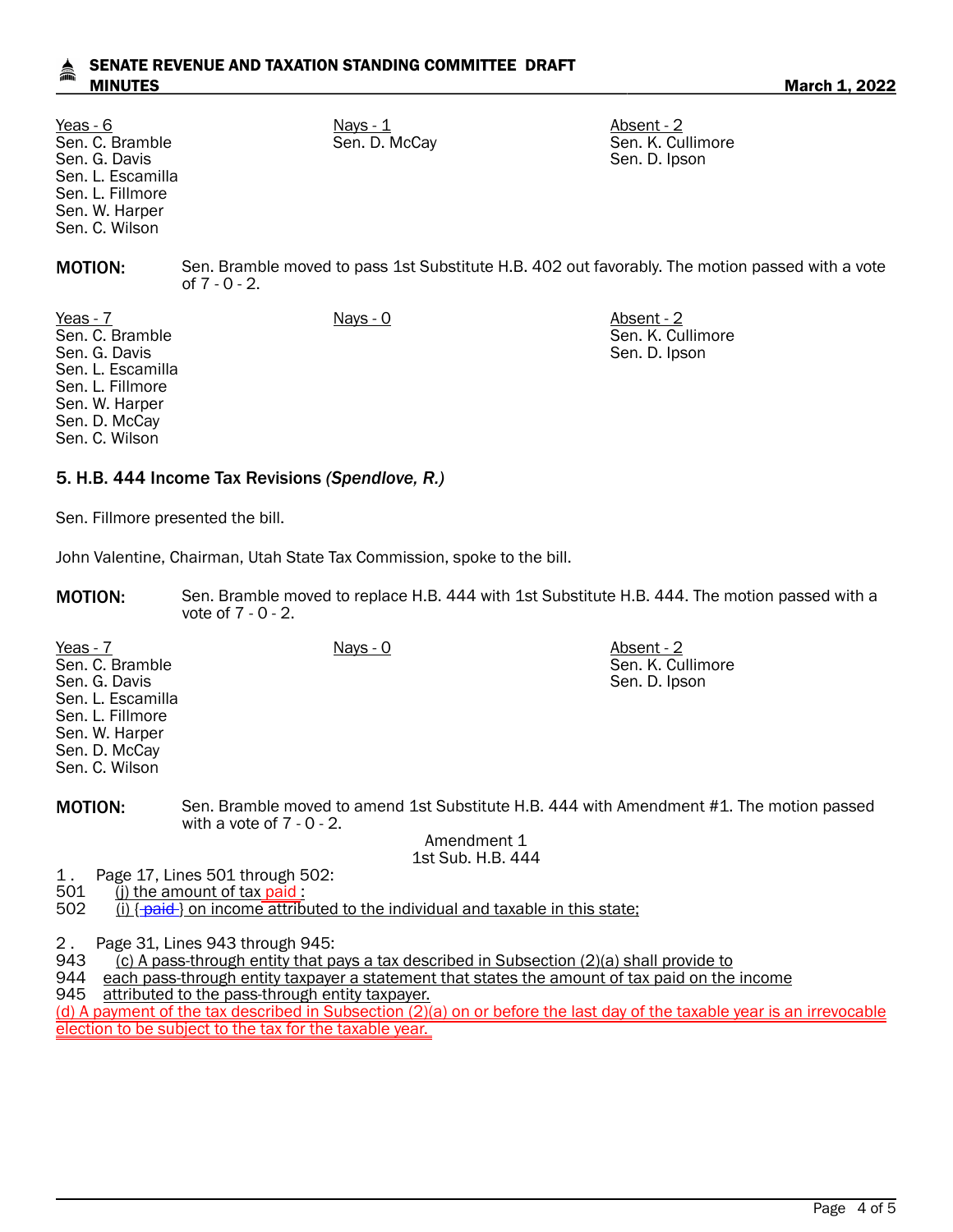# SENATE REVENUE AND TAXATION STANDING COMMITTEE DRAFT MINUTES **March 1, 2022**

Sen. C. Bramble Sen. G. Davis Sen. L. Escamilla Sen. L. Fillmore Sen. W. Harper Sen. C. Wilson

<u>Yeas - 6</u> Nays - <u>Nays - 1</u> Nays - <u>1</u> Absent - 2

Sen. D. McCay Sen. K. Cullimore Sen. D. Ipson

**MOTION:** Sen. Bramble moved to pass 1st Substitute H.B. 402 out favorably. The motion passed with a vote of 7 - 0 - 2.

Yeas - 7 Nays - 0 Nays - 0 Nays - 0 Absent - 2 Sen. C. Bramble Sen. G. Davis Sen. L. Escamilla Sen. L. Fillmore Sen. W. Harper Sen. D. McCay Sen. C. Wilson

Sen. K. Cullimore Sen. D. Ipson

Sen. K. Cullimore Sen. D. Ipson

# 5. H.B. 444 Income Tax Revisions *(Spendlove, R.)*

Sen. Fillmore presented the bill.

John Valentine, Chairman, Utah State Tax Commission, spoke to the bill.

MOTION: Sen. Bramble moved to replace H.B. 444 with 1st Substitute H.B. 444. The motion passed with a vote of 7 - 0 - 2.

Yeas - 7 Nays - 0 Absent - 2 Sen. C. Bramble Sen. G. Davis Sen. L. Escamilla Sen. L. Fillmore Sen. W. Harper Sen. D. McCay Sen. C. Wilson

MOTION: Sen. Bramble moved to amend 1st Substitute H.B. 444 with Amendment #1. The motion passed with a vote of 7 - 0 - 2.

> Amendment 1 1st Sub. H.B. 444

1. Page 17, Lines 501 through 502:<br>501 (i) the amount of tax paid:

501 (j) the amount of tax paid:<br>502 (i) {-paid-} on income attribi

 $(i)$   $\{\text{paid}\}$  on income attributed to the individual and taxable in this state;

2 . Page 31, Lines 943 through 945:<br>943 (c) A pass-through entity that p

943 (c) A pass-through entity that pays a tax described in Subsection (2)(a) shall provide to 944 each pass-through entity taxpayer a statement that states the amount of tax paid on the

each pass-through entity taxpayer a statement that states the amount of tax paid on the income

945 attributed to the pass-through entity taxpayer.

(d) A payment of the tax described in Subsection (2)(a) on or before the last day of the taxable year is an irrevocable election to be subject to the tax for the taxable year.